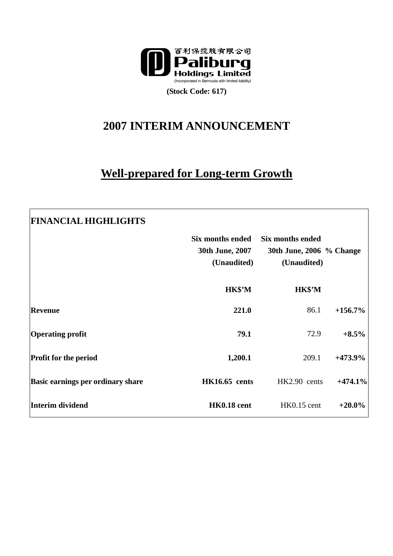

**(Stock Code: 617)** 

# **2007 INTERIM ANNOUNCEMENT**

## **Well-prepared for Long-term Growth**

| <b>FINANCIAL HIGHLIGHTS</b>              |                                                    |                                                                    |            |
|------------------------------------------|----------------------------------------------------|--------------------------------------------------------------------|------------|
|                                          | Six months ended<br>30th June, 2007<br>(Unaudited) | <b>Six months ended</b><br>30th June, 2006 % Change<br>(Unaudited) |            |
|                                          | HK\$'M                                             | HK\$'M                                                             |            |
| <b>Revenue</b>                           | 221.0                                              | 86.1                                                               | $+156.7\%$ |
| <b>Operating profit</b>                  | 79.1                                               | 72.9                                                               | $+8.5\%$   |
| <b>Profit for the period</b>             | 1,200.1                                            | 209.1                                                              | $+473.9%$  |
| <b>Basic earnings per ordinary share</b> | <b>HK16.65</b> cents                               | HK2.90 cents                                                       | $+474.1%$  |
| Interim dividend                         | HK0.18 cent                                        | HK0.15 cent                                                        | $+20.0\%$  |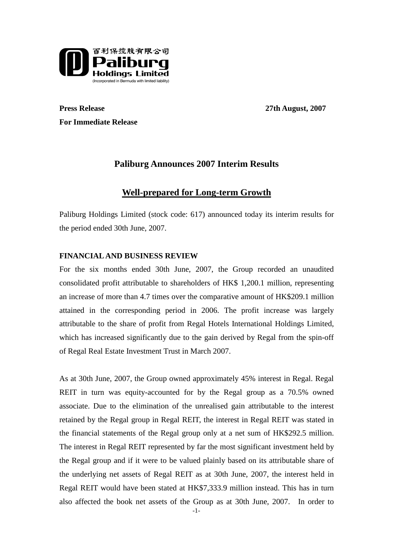

**Press Release** 27th August, 2007 **For Immediate Release** 

## **Paliburg Announces 2007 Interim Results**

### **Well-prepared for Long-term Growth**

Paliburg Holdings Limited (stock code: 617) announced today its interim results for the period ended 30th June, 2007.

#### **FINANCIAL AND BUSINESS REVIEW**

For the six months ended 30th June, 2007, the Group recorded an unaudited consolidated profit attributable to shareholders of HK\$ 1,200.1 million, representing an increase of more than 4.7 times over the comparative amount of HK\$209.1 million attained in the corresponding period in 2006. The profit increase was largely attributable to the share of profit from Regal Hotels International Holdings Limited, which has increased significantly due to the gain derived by Regal from the spin-off of Regal Real Estate Investment Trust in March 2007.

As at 30th June, 2007, the Group owned approximately 45% interest in Regal. Regal REIT in turn was equity-accounted for by the Regal group as a 70.5% owned associate. Due to the elimination of the unrealised gain attributable to the interest retained by the Regal group in Regal REIT, the interest in Regal REIT was stated in the financial statements of the Regal group only at a net sum of HK\$292.5 million. The interest in Regal REIT represented by far the most significant investment held by the Regal group and if it were to be valued plainly based on its attributable share of the underlying net assets of Regal REIT as at 30th June, 2007, the interest held in Regal REIT would have been stated at HK\$7,333.9 million instead. This has in turn also affected the book net assets of the Group as at 30th June, 2007. In order to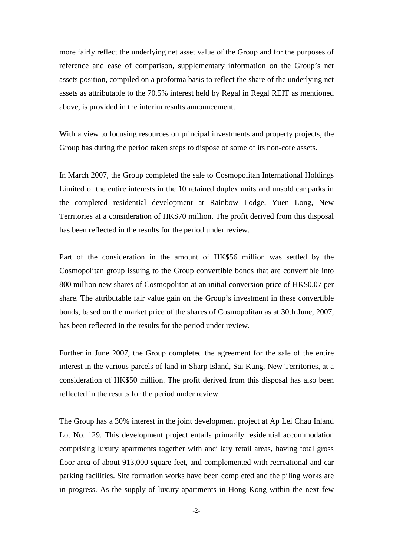more fairly reflect the underlying net asset value of the Group and for the purposes of reference and ease of comparison, supplementary information on the Group's net assets position, compiled on a proforma basis to reflect the share of the underlying net assets as attributable to the 70.5% interest held by Regal in Regal REIT as mentioned above, is provided in the interim results announcement.

With a view to focusing resources on principal investments and property projects, the Group has during the period taken steps to dispose of some of its non-core assets.

In March 2007, the Group completed the sale to Cosmopolitan International Holdings Limited of the entire interests in the 10 retained duplex units and unsold car parks in the completed residential development at Rainbow Lodge, Yuen Long, New Territories at a consideration of HK\$70 million. The profit derived from this disposal has been reflected in the results for the period under review.

Part of the consideration in the amount of HK\$56 million was settled by the Cosmopolitan group issuing to the Group convertible bonds that are convertible into 800 million new shares of Cosmopolitan at an initial conversion price of HK\$0.07 per share. The attributable fair value gain on the Group's investment in these convertible bonds, based on the market price of the shares of Cosmopolitan as at 30th June, 2007, has been reflected in the results for the period under review.

Further in June 2007, the Group completed the agreement for the sale of the entire interest in the various parcels of land in Sharp Island, Sai Kung, New Territories, at a consideration of HK\$50 million. The profit derived from this disposal has also been reflected in the results for the period under review.

The Group has a 30% interest in the joint development project at Ap Lei Chau Inland Lot No. 129. This development project entails primarily residential accommodation comprising luxury apartments together with ancillary retail areas, having total gross floor area of about 913,000 square feet, and complemented with recreational and car parking facilities. Site formation works have been completed and the piling works are in progress. As the supply of luxury apartments in Hong Kong within the next few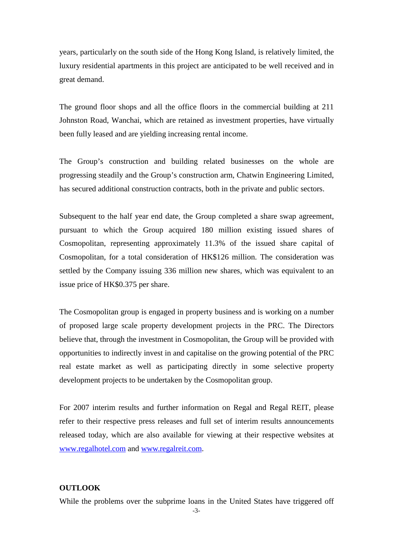years, particularly on the south side of the Hong Kong Island, is relatively limited, the luxury residential apartments in this project are anticipated to be well received and in great demand.

The ground floor shops and all the office floors in the commercial building at 211 Johnston Road, Wanchai, which are retained as investment properties, have virtually been fully leased and are yielding increasing rental income.

The Group's construction and building related businesses on the whole are progressing steadily and the Group's construction arm, Chatwin Engineering Limited, has secured additional construction contracts, both in the private and public sectors.

Subsequent to the half year end date, the Group completed a share swap agreement, pursuant to which the Group acquired 180 million existing issued shares of Cosmopolitan, representing approximately 11.3% of the issued share capital of Cosmopolitan, for a total consideration of HK\$126 million. The consideration was settled by the Company issuing 336 million new shares, which was equivalent to an issue price of HK\$0.375 per share.

The Cosmopolitan group is engaged in property business and is working on a number of proposed large scale property development projects in the PRC. The Directors believe that, through the investment in Cosmopolitan, the Group will be provided with opportunities to indirectly invest in and capitalise on the growing potential of the PRC real estate market as well as participating directly in some selective property development projects to be undertaken by the Cosmopolitan group.

For 2007 interim results and further information on Regal and Regal REIT, please refer to their respective press releases and full set of interim results announcements released today, which are also available for viewing at their respective websites at www.regalhotel.com and www.regalreit.com.

#### **OUTLOOK**

While the problems over the subprime loans in the United States have triggered off